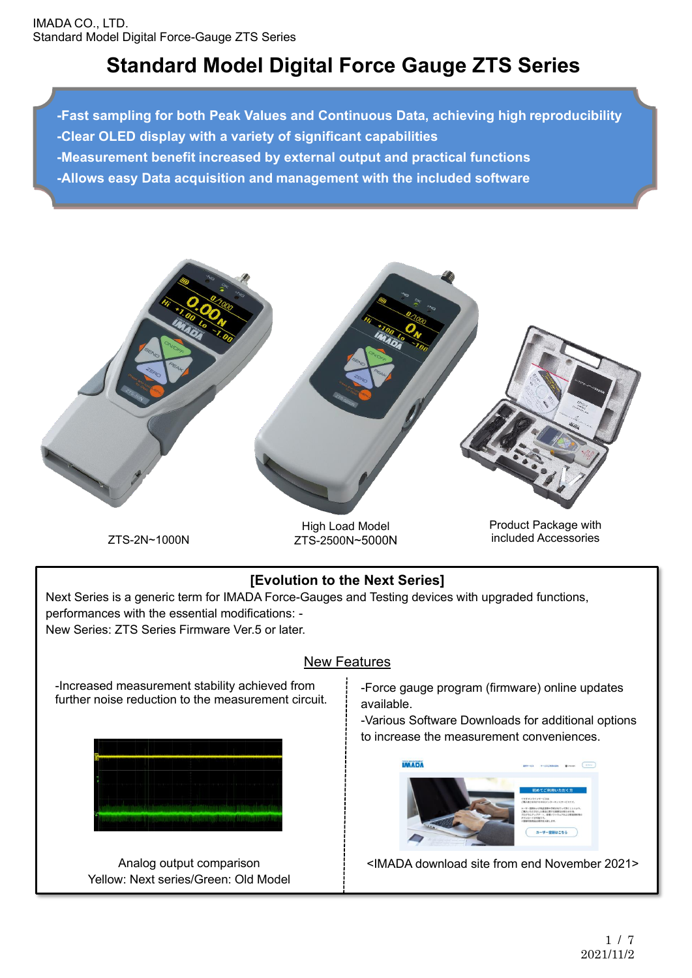# **Standard Model Digital Force Gauge ZTS Series**

**-Fast sampling for both Peak Values and Continuous Data, achieving high reproducibility -Clear OLED display with a variety of significant capabilities -Measurement benefit increased by external output and practical functions -Allows easy Data acquisition and management with the included software**



ZTS-2N~1000N

High Load Model ZTS-2500N~5000N Product Package with included Accessories

## **[Evolution to the Next Series]**

Next Series is a generic term for IMADA Force-Gauges and Testing devices with upgraded functions, performances with the essential modifications: -

New Series: ZTS Series Firmware Ver.5 or later.

## New Features

-Increased measurement stability achieved from further noise reduction to the measurement circuit.



Analog output comparison Yellow: Next series/Green: Old Model -Force gauge program (firmware) online updates available.

-Various Software Downloads for additional options to increase the measurement conveniences.



<IMADA download site from end November 2021>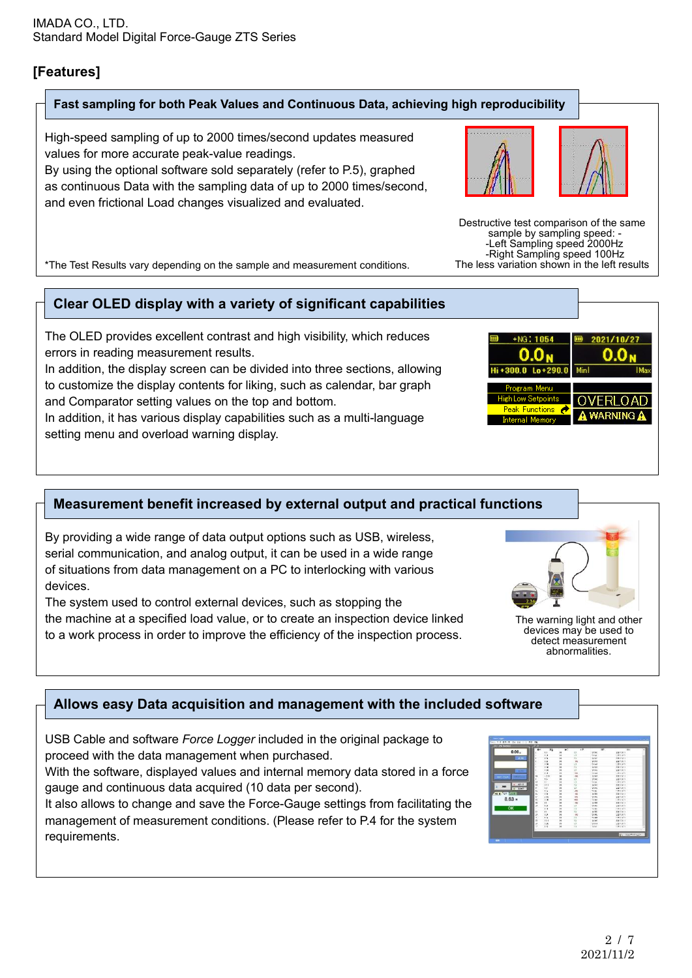## **[Features]**

 $\overline{\phantom{a}}$ 

 $\overline{a}$ 

L

Ļ

#### **Fast sampling for both Peak Values and Continuous Data, achieving high reproducibility**

High-speed sampling of up to 2000 times/second updates measured values for more accurate peak-value readings.

By using the optional software sold separately (refer to P.5), graphed as continuous Data with the sampling data of up to 2000 times/second, and even frictional Load changes visualized and evaluated.

\*The Test Results vary depending on the sample and measurement conditions.

## **Clear OLED display with a variety of significant capabilities**

The OLED provides excellent contrast and high visibility, which reduces errors in reading measurement results.

In addition, the display screen can be divided into three sections, allowing to customize the display contents for liking, such as calendar, bar graph and Comparator setting values on the top and bottom.

In addition, it has various display capabilities such as a multi-language setting menu and overload warning display.

#### **Measurement benefit increased by external output and practical functions**

By providing a wide range of data output options such as USB, wireless, serial communication, and analog output, it can be used in a wide range of situations from data management on a PC to interlocking with various devices.

The system used to control external devices, such as stopping the the machine at a specified load value, or to create an inspection device linked to a work process in order to improve the efficiency of the inspection process.

## **Allows easy Data acquisition and management with the included software**

USB Cable and software *Force Logger* included in the original package to proceed with the data management when purchased.

With the software, displayed values and internal memory data stored in a force gauge and continuous data acquired (10 data per second).

It also allows to change and save the Force-Gauge settings from facilitating the management of measurement conditions. (Please refer to P.4 for the system requirements.

Destructive test comparison of the same sample by sampling speed: - -Left Sampling speed 2000Hz -Right Sampling speed 100Hz The less variation shown in the left results



devices may be used to detect measurement abnormalities.





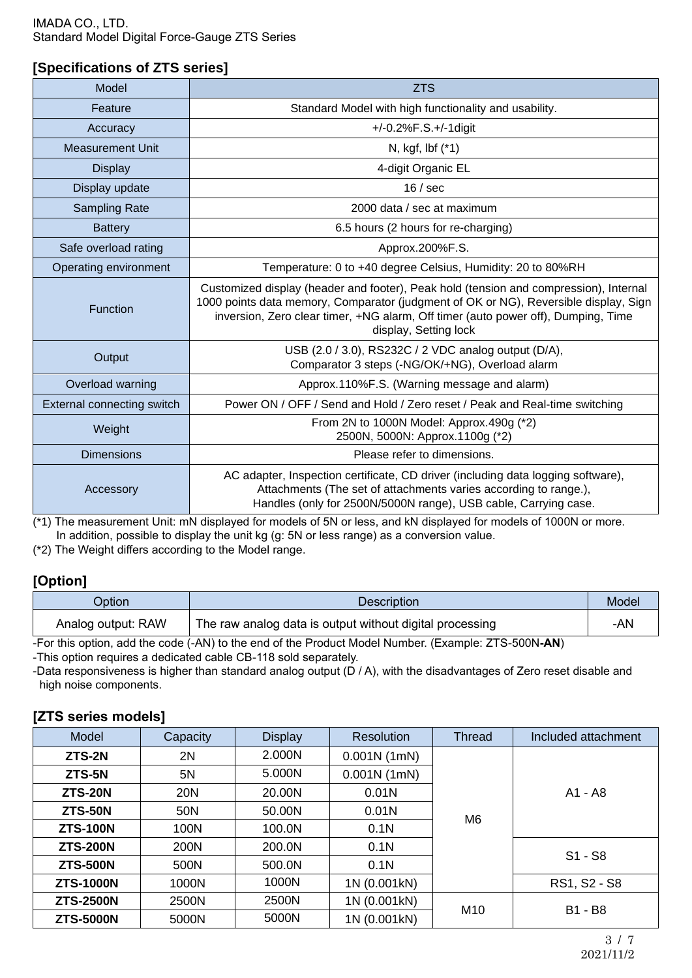#### **[Specifications of ZTS series]**

| Model                                                                                 | <b>ZTS</b>                                                                                                                                                                                                                                                                                  |
|---------------------------------------------------------------------------------------|---------------------------------------------------------------------------------------------------------------------------------------------------------------------------------------------------------------------------------------------------------------------------------------------|
| Feature                                                                               | Standard Model with high functionality and usability.                                                                                                                                                                                                                                       |
| Accuracy                                                                              | $+/-0.2\%$ F.S. $+/-1$ digit                                                                                                                                                                                                                                                                |
| <b>Measurement Unit</b>                                                               | N, kgf, lbf (*1)                                                                                                                                                                                                                                                                            |
| <b>Display</b>                                                                        | 4-digit Organic EL                                                                                                                                                                                                                                                                          |
| Display update                                                                        | 16 / sec                                                                                                                                                                                                                                                                                    |
| <b>Sampling Rate</b>                                                                  | 2000 data / sec at maximum                                                                                                                                                                                                                                                                  |
| <b>Battery</b>                                                                        | 6.5 hours (2 hours for re-charging)                                                                                                                                                                                                                                                         |
| Safe overload rating                                                                  | Approx.200%F.S.                                                                                                                                                                                                                                                                             |
| Operating environment                                                                 | Temperature: 0 to +40 degree Celsius, Humidity: 20 to 80%RH                                                                                                                                                                                                                                 |
| <b>Function</b>                                                                       | Customized display (header and footer), Peak hold (tension and compression), Internal<br>1000 points data memory, Comparator (judgment of OK or NG), Reversible display, Sign<br>inversion, Zero clear timer, +NG alarm, Off timer (auto power off), Dumping, Time<br>display, Setting lock |
| Output                                                                                | USB (2.0 / 3.0), RS232C / 2 VDC analog output (D/A),<br>Comparator 3 steps (-NG/OK/+NG), Overload alarm                                                                                                                                                                                     |
| Overload warning                                                                      | Approx.110%F.S. (Warning message and alarm)                                                                                                                                                                                                                                                 |
| External connecting switch                                                            | Power ON / OFF / Send and Hold / Zero reset / Peak and Real-time switching                                                                                                                                                                                                                  |
| From 2N to 1000N Model: Approx.490g (*2)<br>Weight<br>2500N, 5000N: Approx.1100g (*2) |                                                                                                                                                                                                                                                                                             |
| <b>Dimensions</b>                                                                     | Please refer to dimensions.                                                                                                                                                                                                                                                                 |
| Accessory                                                                             | AC adapter, Inspection certificate, CD driver (including data logging software),<br>Attachments (The set of attachments varies according to range.),<br>Handles (only for 2500N/5000N range), USB cable, Carrying case.                                                                     |

(\*1) The measurement Unit: mN displayed for models of 5N or less, and kN displayed for models of 1000N or more. In addition, possible to display the unit kg (g: 5N or less range) as a conversion value.

(\*2) The Weight differs according to the Model range.

## **[Option]**

| Dption             | <b>Description</b>                                       | Model |
|--------------------|----------------------------------------------------------|-------|
| Analog output: RAW | The raw analog data is output without digital processing | -AN   |

-For this option, add the code (-AN) to the end of the Product Model Number. (Example: ZTS-500N**-AN**)

(5.000kN)

-This option requires a dedicated cable CB-118 sold separately.

-Data responsiveness is higher than standard analog output (D / A), with the disadvantages of Zero reset disable and high noise components.

#### **[ZTS series models]**

| Model            | Capacity       | <b>Display</b> | Resolution       | <b>Thread</b>  | Included attachment |  |
|------------------|----------------|----------------|------------------|----------------|---------------------|--|
| ZTS-2N           | 2N             | 2.000N         | 0.001N(1m)       |                |                     |  |
| ZTS-5N           | 5N             | 5.000N         | 0.001N(1mN)      |                |                     |  |
| <b>ZTS-20N</b>   | <b>20N</b>     | 20.00N         | 0.01N            |                | A1 - A8             |  |
| <b>ZTS-50N</b>   | 50N            | 50.00N         | 0.01N            | M <sub>6</sub> |                     |  |
| <b>ZTS-100N</b>  | 100N           | 100.0N         | 0.1 <sub>N</sub> |                |                     |  |
| <b>ZTS-200N</b>  | 200N<br>200.0N |                | 0.1 <sub>N</sub> |                |                     |  |
| <b>ZTS-500N</b>  | 500N           | 500.0N         | 0.1N             |                | $S1 - S8$           |  |
| <b>ZTS-1000N</b> | 1000N          | 1000N          | 1N (0.001kN)     |                | RS1, S2 - S8        |  |
| <b>ZTS-2500N</b> | 2500N          | 2500N          | 1N (0.001kN)     |                |                     |  |
| <b>ZTS-5000N</b> | 5000N          | 5000N          | 1N (0.001kN)     | M10            | B1 - B8             |  |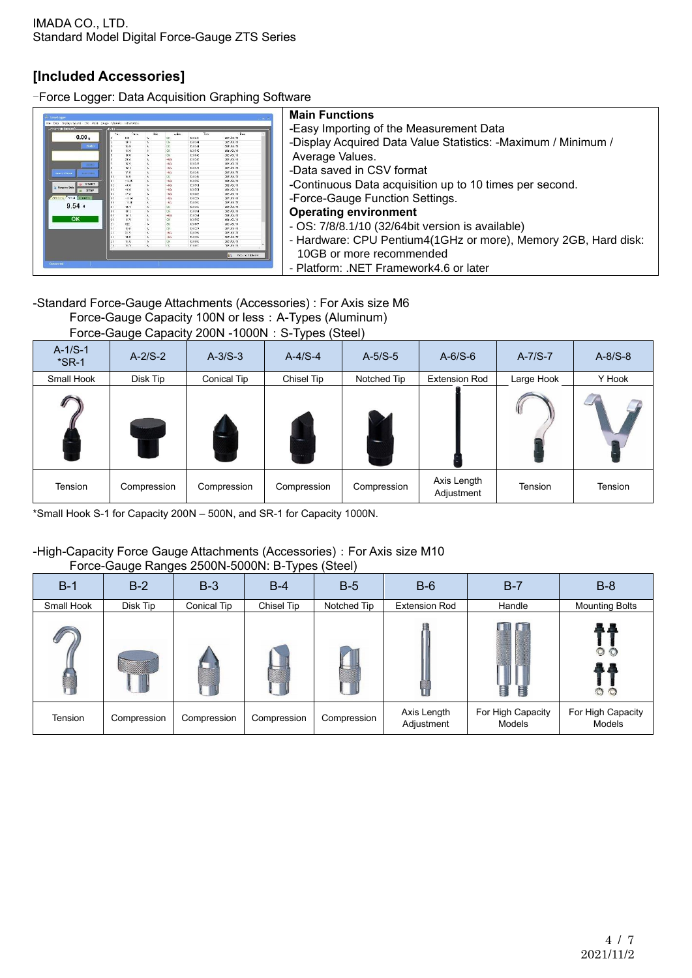## **[Included Accessories]**

-Force Logger: Data Acquisition Graphing Software

| Torrel occu                         |     |     |                                           |                                                        | <b>Main Functions</b>                                          |
|-------------------------------------|-----|-----|-------------------------------------------|--------------------------------------------------------|----------------------------------------------------------------|
| <b>CANNOR</b><br>773-204 (00000)    |     |     |                                           |                                                        | -Easy Importing of the Measurement Data                        |
| 0.00 <sub>1</sub><br>ZERO           |     |     | 12,856<br>120,594<br>12.8244<br>12.874    | 2020/08/21<br><b>SECONDS</b><br>StatAutt<br>1021/03/1  | -Display Acquired Data Value Statistics: -Maximum / Minimum /  |
|                                     |     |     | 151240<br>151246                          | 2020/08/1<br>2021/08/1                                 | Average Values.                                                |
| <b>JEFRO</b><br>$-1/55/3$           |     |     | 1912/17<br>121.511<br>12.8.588<br>12.8248 | 2021/08/7<br>2022/08/21<br><b>SERVICES</b><br>statAut: | -Data saved in CSV format                                      |
| START<br>Acquire Dat<br><b>STOP</b> |     |     | 12176<br>121761<br>1912/01                | 1021/08/1<br>1021/08/1<br>2020007                      | -Continuous Data acquisition up to 10 times per second.        |
| <b>Internal Senata Chevert</b>      |     |     | 191350<br>12.8792                         | 2821/0571<br>2022/08/21<br>2022/08/21                  | -Force-Gauge Function Settings.                                |
| $9.54$ N                            |     |     | 15.8.5%<br>121764                         | sender:<br>2020/02/11<br>1021/06/11                    | <b>Operating environment</b>                                   |
| OK                                  | 655 | ex. | 151200<br>14.87.57<br>1012502             | 1021/08/1<br>2021/08/11<br>2022/08/11                  | - OS: 7/8/8.1/10 (32/64bit version is available)               |
|                                     |     |     | 12.859<br>15.8.59                         | 2020/08/2<br><b>SECONDY</b><br>secritars.<br>10000001  | - Hardware: CPU Pentium4(1GHz or more), Memory 2GB, Hard disk: |
|                                     |     |     |                                           | in Ony to Skhood                                       | 10GB or more recommended                                       |
| <b>Connectal</b>                    |     |     |                                           |                                                        | - Platform: .NET Framework4.6 or later                         |

## -Standard Force-Gauge Attachments (Accessories) : For Axis size M6

| Force-Gauge Capacity 100N or less: A-Types (Aluminum) |  |  |  |  |  |  |  |  |
|-------------------------------------------------------|--|--|--|--|--|--|--|--|
|                                                       |  |  |  |  |  |  |  |  |

#### Force-Gauge Capacity 200N -1000N: S-Types (Steel)

| $A-1/S-1$<br>$*$ SR-1 | $A-2/S-2$   | $A-3/S-3$   | $A-4/S-4$              | $A-5/S-5$   | $A-6/S-6$                 | $A-7/S-7$  | $A-8/S-8$ |
|-----------------------|-------------|-------------|------------------------|-------------|---------------------------|------------|-----------|
| Small Hook            | Disk Tip    | Conical Tip | Chisel Tip             | Notched Tip | <b>Extension Rod</b>      | Large Hook | Y Hook    |
|                       |             |             | <b>TENNIS</b><br>تتهيد | -           |                           | Ю          |           |
| Tension               | Compression | Compression | Compression            | Compression | Axis Length<br>Adjustment | Tension    | Tension   |

\*Small Hook S-1 for Capacity 200N – 500N, and SR-1 for Capacity 1000N.

#### -High-Capacity Force Gauge Attachments (Accessories): For Axis size M10 Force-Gauge Ranges 2500N-5000N: B-Types (Steel)

| $B-1$      | $B-2$       | $B-3$       | <u>JI</u><br>$B-4$ | $B-5$       | $B-6$                     | $B-7$                       | $B-8$                          |
|------------|-------------|-------------|--------------------|-------------|---------------------------|-----------------------------|--------------------------------|
| Small Hook | Disk Tip    | Conical Tip | Chisel Tip         | Notched Tip | <b>Extension Rod</b>      | Handle                      | <b>Mounting Bolts</b>          |
|            | 100000      |             |                    |             |                           | П                           | M<br>$\overline{O}$<br>$\circ$ |
| Tension    | Compression | Compression | Compression        | Compression | Axis Length<br>Adjustment | For High Capacity<br>Models | For High Capacity<br>Models    |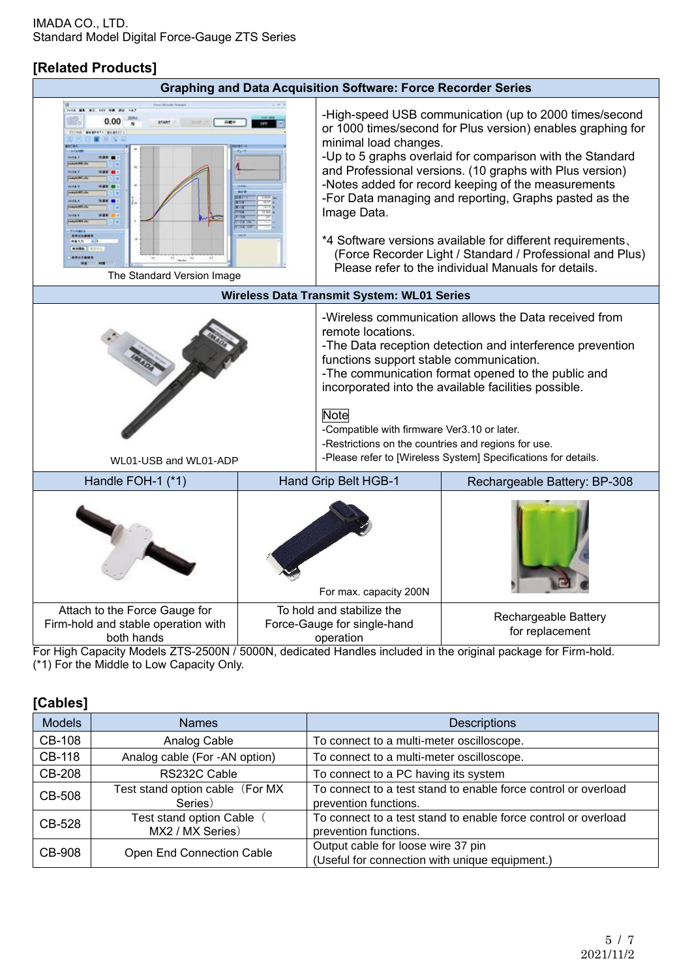## **[Related Products]**

| <b>Graphing and Data Acquisition Software: Force Recorder Series</b>                                                                                                                                |  |                                                                                                                                                                                                                                                                                                                                                                                                                                                                                                                                                                                           |                                         |  |  |  |
|-----------------------------------------------------------------------------------------------------------------------------------------------------------------------------------------------------|--|-------------------------------------------------------------------------------------------------------------------------------------------------------------------------------------------------------------------------------------------------------------------------------------------------------------------------------------------------------------------------------------------------------------------------------------------------------------------------------------------------------------------------------------------------------------------------------------------|-----------------------------------------|--|--|--|
| TedA MK<br>0.00<br>11700 808911 8181<br>288.1<br>$1 + 6 + 1$<br>The Standard Version Image                                                                                                          |  | -High-speed USB communication (up to 2000 times/second<br>or 1000 times/second for Plus version) enables graphing for<br>minimal load changes.<br>-Up to 5 graphs overlaid for comparison with the Standard<br>and Professional versions. (10 graphs with Plus version)<br>-Notes added for record keeping of the measurements<br>-For Data managing and reporting, Graphs pasted as the<br>Image Data.<br>*4 Software versions available for different requirements.<br>(Force Recorder Light / Standard / Professional and Plus)<br>Please refer to the individual Manuals for details. |                                         |  |  |  |
|                                                                                                                                                                                                     |  | Wireless Data Transmit System: WL01 Series                                                                                                                                                                                                                                                                                                                                                                                                                                                                                                                                                |                                         |  |  |  |
| WL01-USB and WL01-ADP                                                                                                                                                                               |  | -Wireless communication allows the Data received from<br>remote locations.<br>-The Data reception detection and interference prevention<br>functions support stable communication.<br>-The communication format opened to the public and<br>incorporated into the available facilities possible.<br><b>Note</b><br>-Compatible with firmware Ver3.10 or later.<br>-Restrictions on the countries and regions for use.<br>-Please refer to [Wireless System] Specifications for details.                                                                                                   |                                         |  |  |  |
| Handle FOH-1 (*1)                                                                                                                                                                                   |  | Hand Grip Belt HGB-1<br>Rechargeable Battery: BP-308                                                                                                                                                                                                                                                                                                                                                                                                                                                                                                                                      |                                         |  |  |  |
|                                                                                                                                                                                                     |  | For max. capacity 200N<br>To hold and stabilize the                                                                                                                                                                                                                                                                                                                                                                                                                                                                                                                                       |                                         |  |  |  |
| Attach to the Force Gauge for<br>Firm-hold and stable operation with<br>both hands<br>For High Capacity Models ZTS-2500N / 5000N, dedicated Handles included in the original package for Firm-hold, |  | Force-Gauge for single-hand<br>operation                                                                                                                                                                                                                                                                                                                                                                                                                                                                                                                                                  | Rechargeable Battery<br>for replacement |  |  |  |

For High Capacity Models ZTS-2500N / 5000N, dedicated Handles included in the original package for Firm-hold. (\*1) For the Middle to Low Capacity Only.

| [Cables]      |                                             |                                                                                         |
|---------------|---------------------------------------------|-----------------------------------------------------------------------------------------|
| <b>Models</b> | <b>Names</b>                                | <b>Descriptions</b>                                                                     |
| <b>CB-108</b> | Analog Cable                                | To connect to a multi-meter oscilloscope.                                               |
| <b>CB-118</b> | Analog cable (For -AN option)               | To connect to a multi-meter oscilloscope.                                               |
| <b>CB-208</b> | RS232C Cable                                | To connect to a PC having its system                                                    |
| <b>CB-508</b> | Test stand option cable (For MX<br>Series)  | To connect to a test stand to enable force control or overload<br>prevention functions. |
| CB-528        | Test stand option Cable<br>MX2 / MX Series) | To connect to a test stand to enable force control or overload<br>prevention functions. |
| CB-908        | Open End Connection Cable                   | Output cable for loose wire 37 pin<br>(Useful for connection with unique equipment.)    |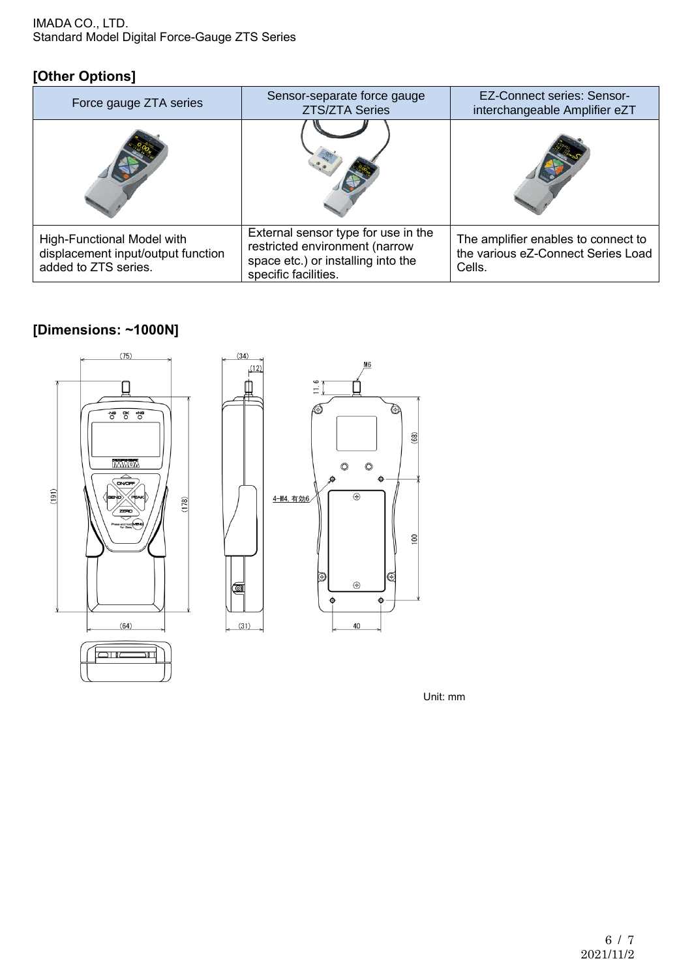#### IMADA CO., LTD. Standard Model Digital Force-Gauge ZTS Series

## **[Other Options]**

| Force gauge ZTA series                                                                   | Sensor-separate force gauge<br><b>ZTS/ZTA Series</b>                                                                                | <b>EZ-Connect series: Sensor-</b><br>interchangeable Amplifier eZT                  |
|------------------------------------------------------------------------------------------|-------------------------------------------------------------------------------------------------------------------------------------|-------------------------------------------------------------------------------------|
|                                                                                          |                                                                                                                                     |                                                                                     |
| High-Functional Model with<br>displacement input/output function<br>added to ZTS series. | External sensor type for use in the<br>restricted environment (narrow<br>space etc.) or installing into the<br>specific facilities. | The amplifier enables to connect to<br>the various eZ-Connect Series Load<br>Cells. |

## **[Dimensions: ~1000N]**



Unit: mm